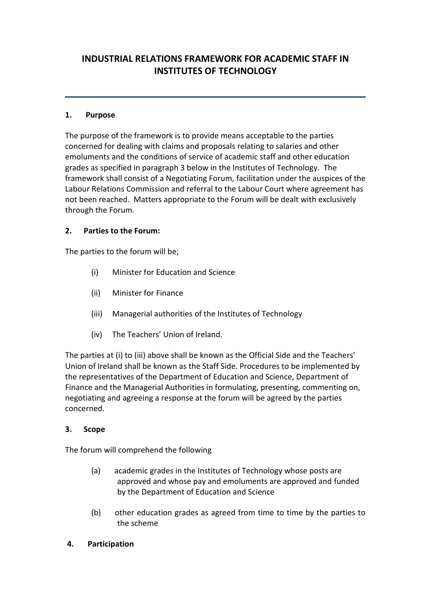# **INDUSTRIAL RELATIONS FRAMEWORK FOR ACADEMIC STAFF IN INSTITUTES OF TECHNOLOGY**

### **1. Purpose**

The purpose of the framework is to provide means acceptable to the parties concerned for dealing with claims and proposals relating to salaries and other emoluments and the conditions of service of academic staff and other education grades as specified in paragraph 3 below in the Institutes of Technology. The framework shall consist of a Negotiating Forum, facilitation under the auspices of the Labour Relations Commission and referral to the Labour Court where agreement has not been reached. Matters appropriate to the Forum will be dealt with exclusively through the Forum.

# **2. Parties to the Forum:**

The parties to the forum will be;

- (i) Minister for Education and Science
- (ii) Minister for Finance
- (iii) Managerial authorities of the Institutes of Technology
- (iv) The Teachers' Union of Ireland.

The parties at (i) to (iii) above shall be known as the Official Side and the Teachers' Union of Ireland shall be known as the Staff Side. Procedures to be implemented by the representatives of the Department of Education and Science, Department of Finance and the Managerial Authorities in formulating, presenting, commenting on, negotiating and agreeing a response at the forum will be agreed by the parties concerned.

#### **3. Scope**

The forum will comprehend the following

- (a) academic grades in the Institutes of Technology whose posts are approved and whose pay and emoluments are approved and funded by the Department of Education and Science
- (b) other education grades as agreed from time to time by the parties to the scheme
- **4. Participation**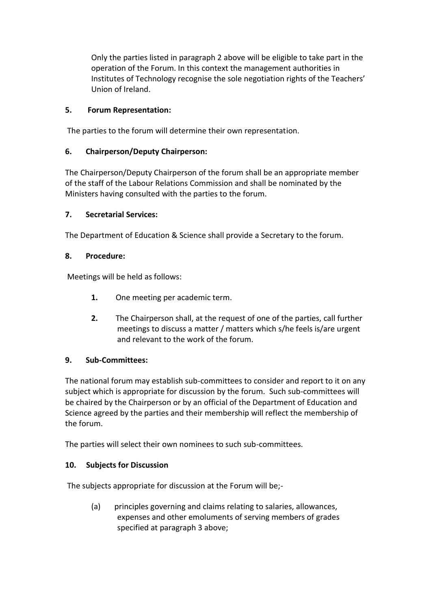Only the parties listed in paragraph 2 above will be eligible to take part in the operation of the Forum. In this context the management authorities in Institutes of Technology recognise the sole negotiation rights of the Teachers' Union of Ireland.

# **5. Forum Representation:**

The parties to the forum will determine their own representation.

# **6. Chairperson/Deputy Chairperson:**

The Chairperson/Deputy Chairperson of the forum shall be an appropriate member of the staff of the Labour Relations Commission and shall be nominated by the Ministers having consulted with the parties to the forum.

# **7. Secretarial Services:**

The Department of Education & Science shall provide a Secretary to the forum.

# **8. Procedure:**

Meetings will be held as follows:

- **1.** One meeting per academic term.
- **2.** The Chairperson shall, at the request of one of the parties, call further meetings to discuss a matter / matters which s/he feels is/are urgent and relevant to the work of the forum.

# **9. Sub-Committees:**

The national forum may establish sub-committees to consider and report to it on any subject which is appropriate for discussion by the forum. Such sub-committees will be chaired by the Chairperson or by an official of the Department of Education and Science agreed by the parties and their membership will reflect the membership of the forum.

The parties will select their own nominees to such sub-committees.

# **10. Subjects for Discussion**

The subjects appropriate for discussion at the Forum will be;-

(a) principles governing and claims relating to salaries, allowances, expenses and other emoluments of serving members of grades specified at paragraph 3 above;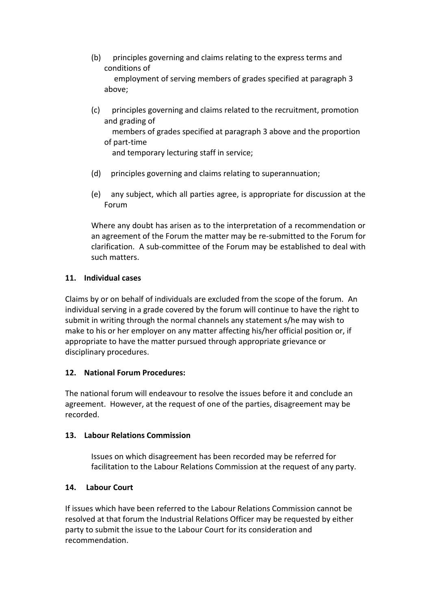- (b) principles governing and claims relating to the express terms and conditions of employment of serving members of grades specified at paragraph 3 above;
- (c) principles governing and claims related to the recruitment, promotion and grading of members of grades specified at paragraph 3 above and the proportion of part-time and temporary lecturing staff in service;
- (d) principles governing and claims relating to superannuation;
- (e) any subject, which all parties agree, is appropriate for discussion at the Forum

Where any doubt has arisen as to the interpretation of a recommendation or an agreement of the Forum the matter may be re-submitted to the Forum for clarification. A sub-committee of the Forum may be established to deal with such matters.

#### **11. Individual cases**

Claims by or on behalf of individuals are excluded from the scope of the forum. An individual serving in a grade covered by the forum will continue to have the right to submit in writing through the normal channels any statement s/he may wish to make to his or her employer on any matter affecting his/her official position or, if appropriate to have the matter pursued through appropriate grievance or disciplinary procedures.

#### **12. National Forum Procedures:**

The national forum will endeavour to resolve the issues before it and conclude an agreement. However, at the request of one of the parties, disagreement may be recorded.

#### **13. Labour Relations Commission**

Issues on which disagreement has been recorded may be referred for facilitation to the Labour Relations Commission at the request of any party.

# **14. Labour Court**

If issues which have been referred to the Labour Relations Commission cannot be resolved at that forum the Industrial Relations Officer may be requested by either party to submit the issue to the Labour Court for its consideration and recommendation.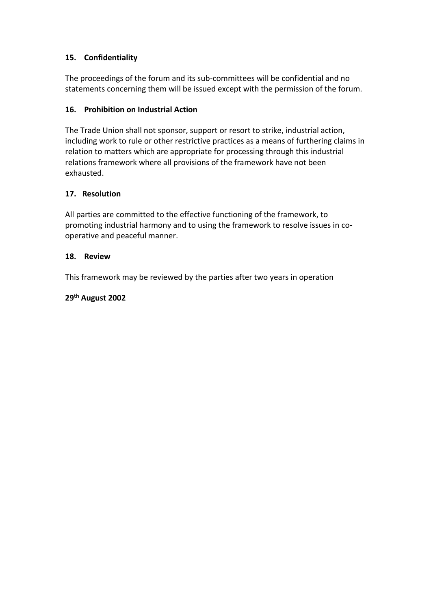# **15. Confidentiality**

The proceedings of the forum and its sub-committees will be confidential and no statements concerning them will be issued except with the permission of the forum.

# **16. Prohibition on Industrial Action**

The Trade Union shall not sponsor, support or resort to strike, industrial action, including work to rule or other restrictive practices as a means of furthering claims in relation to matters which are appropriate for processing through this industrial relations framework where all provisions of the framework have not been exhausted.

# **17. Resolution**

All parties are committed to the effective functioning of the framework, to promoting industrial harmony and to using the framework to resolve issues in cooperative and peaceful manner.

#### **18. Review**

This framework may be reviewed by the parties after two years in operation

#### **29th August 2002**